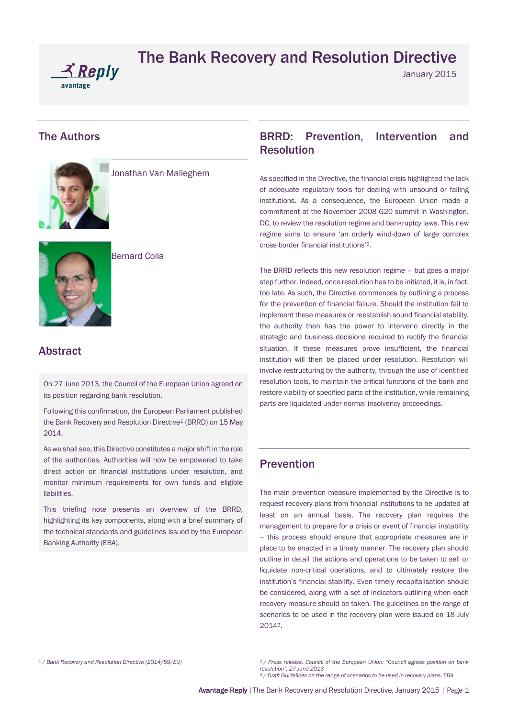

January 2015

### The Authors



Jonathan Van Malleghem



Bernard Colla

## Abstract

On 27 June 2013, the Council of the European Union agreed on its position regarding bank resolution.

Following this confirmation, the European Parliament published the Bank Recovery and Resolution Directive<sup>1</sup> (BRRD) on 15 May 2014.

As we shall see, this Directive constitutes a major shift in the role of the authorities. Authorities will now be empowered to take direct action on financial institutions under resolution, and monitor minimum requirements for own funds and eligible liabilities.

This briefing note presents an overview of the BRRD, highlighting its key components, along with a brief summary of the technical standards and guidelines issued by the European Banking Authority (EBA).

## BRRD: Prevention, Intervention and Resolution

As specified in the Directive, the financial crisis highlighted the lack of adequate regulatory tools for dealing with unsound or failing institutions. As a consequence, the European Union made a commitment at the November 2008 G20 summit in Washington, DC, to review the resolution regime and bankruptcy laws. This new regime aims to ensure 'an orderly wind-down of large complex cross-border financial institutions'2.

The BRRD reflects this new resolution regime – but goes a major step further. Indeed, once resolution has to be initiated, it is, in fact, too late. As such, the Directive commences by outlining a process for the prevention of financial failure. Should the institution fail to implement these measures or reestablish sound financial stability, the authority then has the power to intervene directly in the strategic and business decisions required to rectify the financial situation. If these measures prove insufficient, the financial institution will then be placed under resolution. Resolution will involve restructuring by the authority, through the use of identified resolution tools, to maintain the critical functions of the bank and restore viability of specified parts of the institution, while remaining parts are liquidated under normal insolvency proceedings.

# Prevention

The main prevention measure implemented by the Directive is to request recovery plans from financial institutions to be updated at least on an annual basis. The recovery plan requires the management to prepare for a crisis or event of financial instability – this process should ensure that appropriate measures are in place to be enacted in a timely manner. The recovery plan should outline in detail the actions and operations to be taken to sell or liquidate non-critical operations, and to ultimately restore the institution's financial stability. Even timely recapitalisation should be considered, along with a set of indicators outlining when each recovery measure should be taken. The guidelines on the range of scenarios to be used in the recovery plan were issued on 18 July 20143.

*<sup>1</sup> [/ Bank Recovery and Resolution Directive \(2014/59/EU\)](http://eur-lex.europa.eu/legal-content/EN/TXT/PDF/?uri=CELEX:32014L0059&from=EN)*

*<sup>2</sup> / Press release, Council of the European Union: "Council agrees position on bank resolution", 27 June 2013*

*<sup>3</sup> / Draft [Guidelines](http://www.eba.europa.eu/documents/10180/205759/EBA-CP-2013-09---CP-on-Draft-RTS-on-Scenarios-For-Recovery-Plans.pdf) on the range of scenarios to be used in recovery plans, EBA*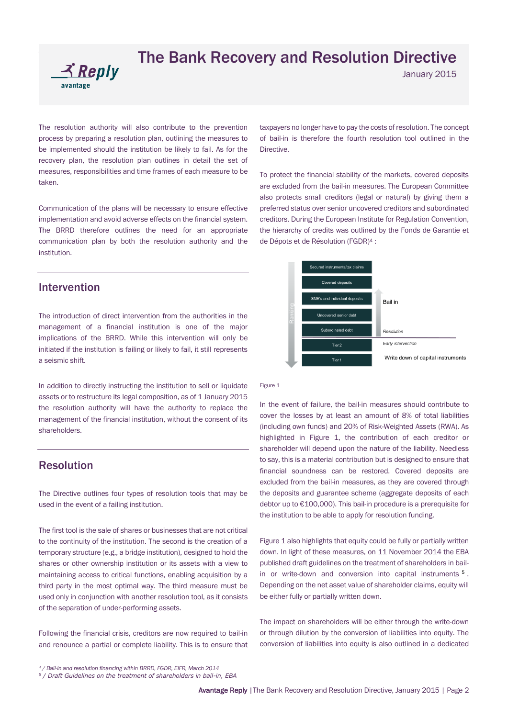

January 2015

The resolution authority will also contribute to the prevention process by preparing a resolution plan, outlining the measures to be implemented should the institution be likely to fail. As for the recovery plan, the resolution plan outlines in detail the set of measures, responsibilities and time frames of each measure to be taken.

Communication of the plans will be necessary to ensure effective implementation and avoid adverse effects on the financial system. The BRRD therefore outlines the need for an appropriate communication plan by both the resolution authority and the institution.

### Intervention

The introduction of direct intervention from the authorities in the management of a financial institution is one of the major implications of the BRRD. While this intervention will only be initiated if the institution is failing or likely to fail, it still represents a seismic shift.

In addition to directly instructing the institution to sell or liquidate assets or to restructure its legal composition, as of 1 January 2015 the resolution authority will have the authority to replace the management of the financial institution, without the consent of its shareholders.

### Resolution

The Directive outlines four types of resolution tools that may be used in the event of a failing institution.

The first tool is the sale of shares or businesses that are not critical to the continuity of the institution. The second is the creation of a temporary structure (e.g., a bridge institution), designed to hold the shares or other ownership institution or its assets with a view to maintaining access to critical functions, enabling acquisition by a third party in the most optimal way. The third measure must be used only in conjunction with another resolution tool, as it consists of the separation of under-performing assets.

Following the financial crisis, creditors are now required to bail-in and renounce a partial or complete liability. This is to ensure that taxpayers no longer have to pay the costs of resolution. The concept of bail-in is therefore the fourth resolution tool outlined in the **Directive** 

To protect the financial stability of the markets, covered deposits are excluded from the bail-in measures. The European Committee also protects small creditors (legal or natural) by giving them a preferred status over senior uncovered creditors and subordinated creditors. During the European Institute for Regulation Convention, the hierarchy of credits was outlined by the Fonds de Garantie et de Dépots et de Résolution (FGDR)<sup>4</sup> :



#### Figure 1

In the event of failure, the bail-in measures should contribute to cover the losses by at least an amount of 8% of total liabilities (including own funds) and 20% of Risk-Weighted Assets (RWA). As highlighted in Figure 1, the contribution of each creditor or shareholder will depend upon the nature of the liability. Needless to say, this is a material contribution but is designed to ensure that financial soundness can be restored. Covered deposits are excluded from the bail-in measures, as they are covered through the deposits and guarantee scheme (aggregate deposits of each debtor up to €100,000). This bail-in procedure is a prerequisite for the institution to be able to apply for resolution funding.

Figure 1 also highlights that equity could be fully or partially written down. In light of these measures, on 11 November 2014 the EBA published draft guidelines on the treatment of shareholders in bailin or write-down and conversion into capital instruments <sup>5</sup>. Depending on the net asset value of shareholder claims, equity will be either fully or partially written down.

The impact on shareholders will be either through the write-down or through dilution by the conversion of liabilities into equity. The conversion of liabilities into equity is also outlined in a dedicated

*<sup>4</sup> / Bail-in and resolution financing within BRRD, FGDR, EIFR, March 2014*

*<sup>5</sup> / Draf[t Guidelines](http://www.eba.europa.eu/documents/10180/890569/EBA-CP-2014-40+CP+on+GL+on+shareholders+treatment+in+bail-in.pdf) on the treatment of shareholders in bail-in, EBA*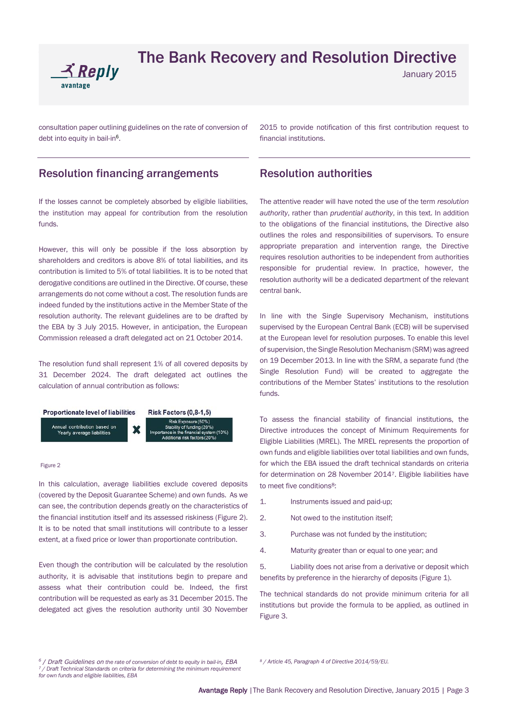

January 2015

consultation paper outlining guidelines on the rate of conversion of debt into equity in bail-in<sup>6</sup>.

### Resolution financing arrangements

If the losses cannot be completely absorbed by eligible liabilities, the institution may appeal for contribution from the resolution funds.

However, this will only be possible if the loss absorption by shareholders and creditors is above 8% of total liabilities, and its contribution is limited to 5% of total liabilities. It is to be noted that derogative conditions are outlined in the Directive. Of course, these arrangements do not come without a cost. The resolution funds are indeed funded by the institutions active in the Member State of the resolution authority. The relevant guidelines are to be drafted by the EBA by 3 July 2015. However, in anticipation, the European Commission released a draft delegated act on 21 October 2014.

The resolution fund shall represent 1% of all covered deposits by 31 December 2024. The draft delegated act outlines the calculation of annual contribution as follows:



#### Figure 2

In this calculation, average liabilities exclude covered deposits (covered by the Deposit Guarantee Scheme) and own funds. As we can see, the contribution depends greatly on the characteristics of the financial institution itself and its assessed riskiness (Figure 2). It is to be noted that small institutions will contribute to a lesser extent, at a fixed price or lower than proportionate contribution.

Even though the contribution will be calculated by the resolution authority, it is advisable that institutions begin to prepare and assess what their contribution could be. Indeed, the first contribution will be requested as early as 31 December 2015. The delegated act gives the resolution authority until 30 November

2015 to provide notification of this first contribution request to financial institutions.

### Resolution authorities

The attentive reader will have noted the use of the term *resolution authority*, rather than *prudential authority*, in this text. In addition to the obligations of the financial institutions, the Directive also outlines the roles and responsibilities of supervisors. To ensure appropriate preparation and intervention range, the Directive requires resolution authorities to be independent from authorities responsible for prudential review. In practice, however, the resolution authority will be a dedicated department of the relevant central bank.

In line with the Single Supervisory Mechanism, institutions supervised by the European Central Bank (ECB) will be supervised at the European level for resolution purposes. To enable this level of supervision, the Single Resolution Mechanism (SRM) was agreed on 19 December 2013. In line with the SRM, a separate fund (the Single Resolution Fund) will be created to aggregate the contributions of the Member States' institutions to the resolution funds.

To assess the financial stability of financial institutions, the Directive introduces the concept of Minimum Requirements for Eligible Liabilities (MREL). The MREL represents the proportion of own funds and eligible liabilities over total liabilities and own funds, for which the EBA issued the draft technical standards on criteria for determination on 28 November 20147. Eligible liabilities have to meet five conditions<sup>8</sup>:

- 1. Instruments issued and paid-up;
- 2. Not owed to the institution itself
- 3. Purchase was not funded by the institution;
- 4. Maturity greater than or equal to one year; and

5. Liability does not arise from a derivative or deposit which benefits by preference in the hierarchy of deposits (Figure 1).

The technical standards do not provide minimum criteria for all institutions but provide the formula to be applied, as outlined in Figure 3.

*<sup>8</sup> / Article 45, Paragraph 4 of Directive 2014/59/EU.*

*<sup>6</sup> / Draf[t Guidelines](http://www.eba.europa.eu/documents/10180/890758/EBA-CP-2014-39+CP+on+GL+on+conversion+rates.pdf) on the rate of conversion of debt to equity in bail-in, EBA <sup>7</sup> / Draf[t Technical Standards](https://www.eba.europa.eu/documents/10180/911034/EBA+CP+2014+41+%28CP+on+draft+RTS+on+MREL%29.pdf) on criteria for determining the minimum requirement for own funds and eligible liabilities, EBA*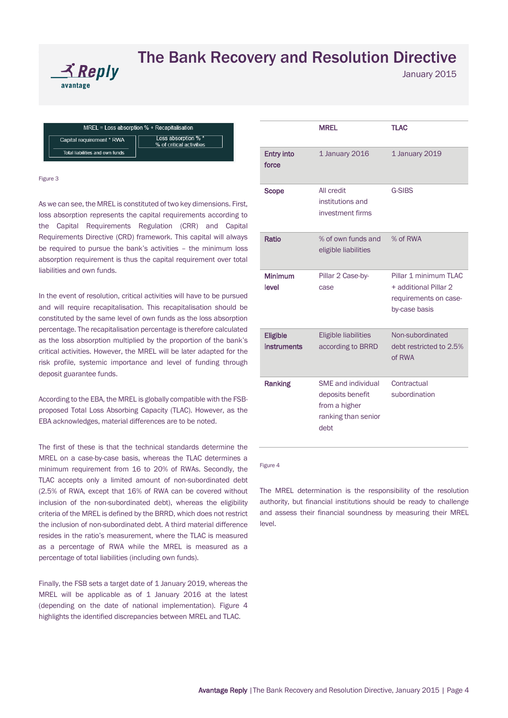

January 2015

MREL = Loss absorption % + Recapitalisation Loss absorption % ' Capital requirement \* RWA % of critical activities Total liabilities and own funds

Figure 3

As we can see, the MREL is constituted of two key dimensions. First, loss absorption represents the capital requirements according to the Capital Requirements Regulation (CRR) and Capital Requirements Directive (CRD) framework. This capital will always be required to pursue the bank's activities – the minimum loss absorption requirement is thus the capital requirement over total liabilities and own funds.

In the event of resolution, critical activities will have to be pursued and will require recapitalisation. This recapitalisation should be constituted by the same level of own funds as the loss absorption percentage. The recapitalisation percentage is therefore calculated as the loss absorption multiplied by the proportion of the bank's critical activities. However, the MREL will be later adapted for the risk profile, systemic importance and level of funding through deposit guarantee funds.

According to the EBA, the MREL is globally compatible with the FSBproposed Total Loss Absorbing Capacity (TLAC). However, as the EBA acknowledges, material differences are to be noted.

The first of these is that the technical standards determine the MREL on a case-by-case basis, whereas the TLAC determines a minimum requirement from 16 to 20% of RWAs. Secondly, the TLAC accepts only a limited amount of non-subordinated debt (2.5% of RWA, except that 16% of RWA can be covered without inclusion of the non-subordinated debt), whereas the eligibility criteria of the MREL is defined by the BRRD, which does not restrict the inclusion of non-subordinated debt. A third material difference resides in the ratio's measurement, where the TLAC is measured as a percentage of RWA while the MREL is measured as a percentage of total liabilities (including own funds).

Finally, the FSB sets a target date of 1 January 2019, whereas the MREL will be applicable as of 1 January 2016 at the latest (depending on the date of national implementation). Figure 4 highlights the identified discrepancies between MREL and TLAC.

|                                       | <b>MREL</b>                                                                                   | <b>TLAC</b>                                                                              |
|---------------------------------------|-----------------------------------------------------------------------------------------------|------------------------------------------------------------------------------------------|
| <b>Entry into</b><br>force            | 1 January 2016                                                                                | 1 January 2019                                                                           |
| <b>Scope</b>                          | All credit<br>institutions and<br>investment firms                                            | <b>G-SIBS</b>                                                                            |
| Ratio                                 | % of own funds and<br>eligible liabilities                                                    | % of RWA                                                                                 |
| <b>Minimum</b><br>level               | Pillar 2 Case-by-<br>case                                                                     | Pillar 1 minimum TLAC<br>+ additional Pillar 2<br>requirements on case-<br>by-case basis |
| <b>Eligible</b><br><b>instruments</b> | <b>Eligible liabilities</b><br>according to BRRD                                              | Non-subordinated<br>debt restricted to 2.5%<br>of RWA                                    |
| <b>Ranking</b>                        | <b>SME</b> and individual<br>deposits benefit<br>from a higher<br>ranking than senior<br>debt | Contractual<br>subordination                                                             |

Figure 4

The MREL determination is the responsibility of the resolution authority, but financial institutions should be ready to challenge and assess their financial soundness by measuring their MREL level.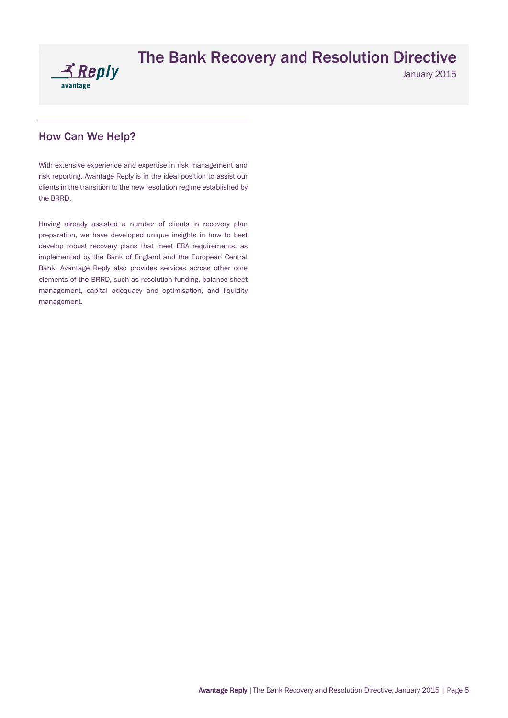

January 2015

# How Can We Help?

With extensive experience and expertise in risk management and risk reporting, Avantage Reply is in the ideal position to assist our clients in the transition to the new resolution regime established by the BRRD.

Having already assisted a number of clients in recovery plan preparation, we have developed unique insights in how to best develop robust recovery plans that meet EBA requirements, as implemented by the Bank of England and the European Central Bank. Avantage Reply also provides services across other core elements of the BRRD, such as resolution funding, balance sheet management, capital adequacy and optimisation, and liquidity management.